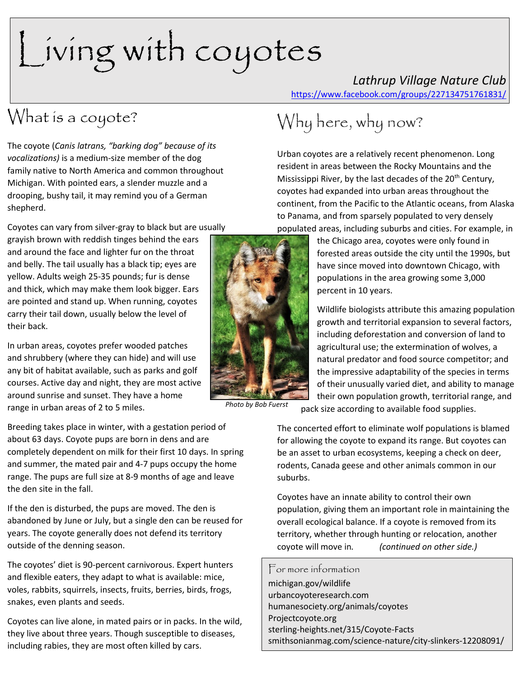# Living with coyotes

## *Lathrup Village Nature Club*

<https://www.facebook.com/groups/227134751761831/>

### What is a coyote?

The coyote (*Canis latrans, "barking dog" because of its vocalizations)* is a medium-size member of the dog family native to [North America](https://en.wikipedia.org/wiki/North_America) and common throughout Michigan. With pointed ears, a slender muzzle and a drooping, bushy tail, it may remind you of a German shepherd.

Coyotes can vary from silver-gray to black but are usually

grayish brown with reddish tinges behind the ears and around the face and lighter fur on the throat and belly. The tail usually has a black tip; eyes are yellow. Adults weigh 25-35 pounds; fur is dense and thick, which may make them look bigger. Ears are pointed and stand up. When running, coyotes carry their tail down, usually below the level of their back.

In urban areas, coyotes prefer wooded patches and shrubbery (where they can hide) and will use any bit of habitat available, such as parks and golf courses. Active day and night, they are most active around sunrise and sunset. They have a home range in urban areas of 2 to 5 miles.

Breeding takes place in winter, with a [gestation period](https://en.wikipedia.org/wiki/Gestation_period) of about 63 days. Coyote pups are born in dens and are completely dependent on [milk](https://en.wikipedia.org/wiki/Milk) for their first 10 days. In spring and summer, the mated pair and 4-7 pups occupy the home range. The pups are full size at 8-9 months of age and leave the den site in the fall.

If the den is disturbed, the pups are moved. The den is abandoned by June or July, but a single den can be reused for years. The coyote generally does not defend its territory outside of the denning season.

The coyotes' diet is 90-percent carnivorous. Expert hunters and flexible eaters, they adapt to what is available: mice, voles, rabbits, squirrels, insects, fruits, berries, birds, frogs, snakes, even plants and seeds.

Coyotes can live alone, in mated pairs or in packs. In the wild, they live about three years. Though susceptible to diseases, including rabies, they are most often killed by cars.



Urban coyotes are a relatively recent phenomenon. Long resident in areas between the Rocky Mountains and the Mississippi River, by the last decades of the 20<sup>th</sup> Century, coyotes had expanded into urban areas throughout the continent, from the Pacific to the Atlantic oceans, from Alaska to Panama, and from sparsely populated to very densely

populated areas, including suburbs and cities. For example, in

the Chicago area, coyotes were only found in forested areas outside the city until the 1990s, but have since moved into downtown Chicago, with populations in the area growing some 3,000 percent in 10 years.

Wildlife biologists attribute this amazing population growth and territorial expansion to several factors, including deforestation and conversion of land to agricultural use; the extermination of wolves, a natural predator and food source competitor; and the impressive adaptability of the species in terms of their unusually varied diet, and ability to manage their own population growth, territorial range, and

*Photo by Bob Fuerst*

pack size according to available food supplies.

The concerted effort to eliminate wolf populations is blamed for allowing the coyote to expand its range. But coyotes can be an asset to urban ecosystems, keeping a check on deer, rodents, Canada geese and other animals common in our suburbs.

Coyotes have an innate ability to control their own population, giving them an important role in maintaining the overall [ecological](https://go.gale.com/ps/i.do?p=OVIC&u=lom_accessmich&id=GALE|CV2644150338&v=2.1&it=r&sid=OVIC&asid=bfc43973) balance. If a coyote is removed from its territory, whether through hunting or relocation, another coyote will move in*. (continued on other side.)*

#### For more information

michigan.gov/wildlife urbancoyoteresearch.com humanesociety.org/animals/coyotes Projectcoyote.org [sterling-heights.net/315/Coyote-Facts](http://www.sterling-heights.net/315/Coyote-Facts) [smithsonianmag.com/science-nature/city-slinkers-12208091/](https://www.smithsonianmag.com/science-nature/city-slinkers-12208091/)